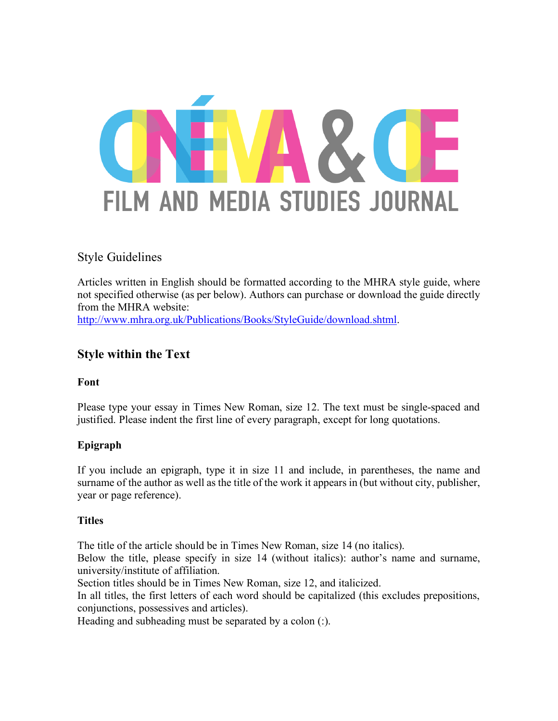

# Style Guidelines

Articles written in English should be formatted according to the MHRA style guide, where not specified otherwise (as per below). Authors can purchase or download the guide directly from the MHRA website:

http://www.mhra.org.uk/Publications/Books/StyleGuide/download.shtml.

# **Style within the Text**

# **Font**

Please type your essay in Times New Roman, size 12. The text must be single-spaced and justified. Please indent the first line of every paragraph, except for long quotations.

# **Epigraph**

If you include an epigraph, type it in size 11 and include, in parentheses, the name and surname of the author as well as the title of the work it appears in (but without city, publisher, year or page reference).

# **Titles**

The title of the article should be in Times New Roman, size 14 (no italics).

Below the title, please specify in size 14 (without italics): author's name and surname, university/institute of affiliation.

Section titles should be in Times New Roman, size 12, and italicized.

In all titles, the first letters of each word should be capitalized (this excludes prepositions, conjunctions, possessives and articles).

Heading and subheading must be separated by a colon (:).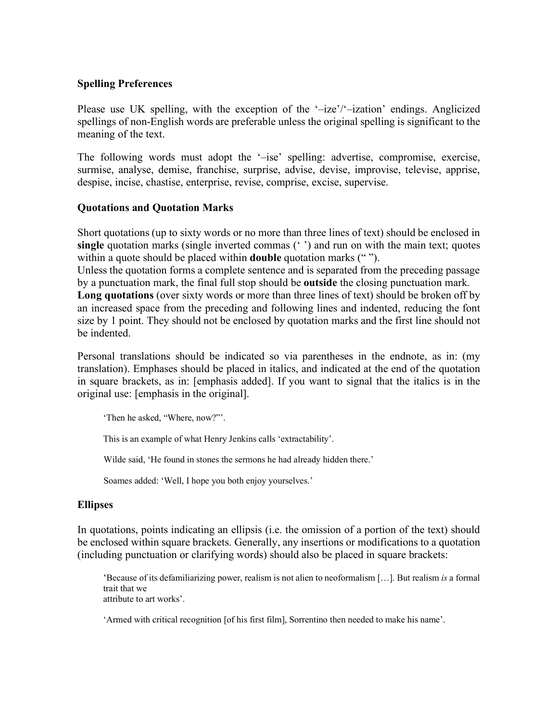# **Spelling Preferences**

Please use UK spelling, with the exception of the '–ize'/'–ization' endings. Anglicized spellings of non-English words are preferable unless the original spelling is significant to the meaning of the text.

The following words must adopt the '–ise' spelling: advertise, compromise, exercise, surmise, analyse, demise, franchise, surprise, advise, devise, improvise, televise, apprise, despise, incise, chastise, enterprise, revise, comprise, excise, supervise.

# **Quotations and Quotation Marks**

Short quotations (up to sixty words or no more than three lines of text) should be enclosed in **single** quotation marks (single inverted commas (' ') and run on with the main text; quotes within a quote should be placed within **double** quotation marks (" ").

Unless the quotation forms a complete sentence and is separated from the preceding passage by a punctuation mark, the final full stop should be **outside** the closing punctuation mark.

**Long quotations** (over sixty words or more than three lines of text) should be broken off by an increased space from the preceding and following lines and indented, reducing the font size by 1 point. They should not be enclosed by quotation marks and the first line should not be indented.

Personal translations should be indicated so via parentheses in the endnote, as in: (my translation). Emphases should be placed in italics, and indicated at the end of the quotation in square brackets, as in: [emphasis added]. If you want to signal that the italics is in the original use: [emphasis in the original].

'Then he asked, "Where, now?"'.

This is an example of what Henry Jenkins calls 'extractability'.

Wilde said, 'He found in stones the sermons he had already hidden there.'

Soames added: 'Well, I hope you both enjoy yourselves.'

# **Ellipses**

In quotations, points indicating an ellipsis (i.e. the omission of a portion of the text) should be enclosed within square brackets. Generally, any insertions or modifications to a quotation (including punctuation or clarifying words) should also be placed in square brackets:

'Because of its defamiliarizing power, realism is not alien to neoformalism […]. But realism *is* a formal trait that we attribute to art works'.

'Armed with critical recognition [of his first film], Sorrentino then needed to make his name'.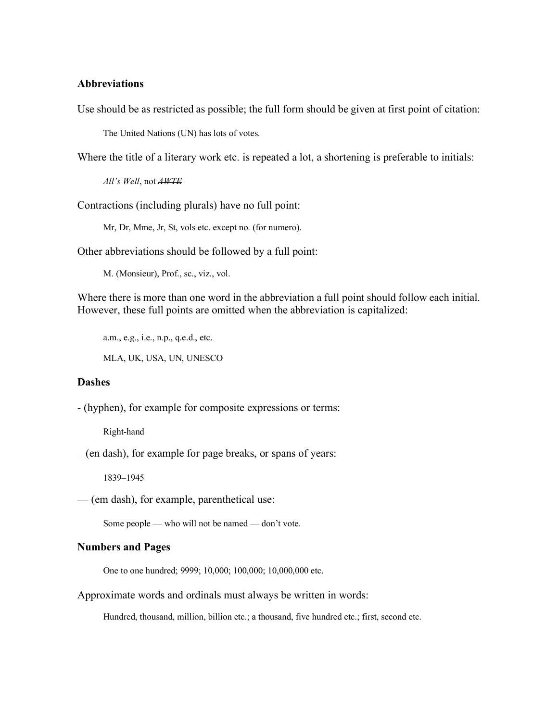## **Abbreviations**

Use should be as restricted as possible; the full form should be given at first point of citation:

The United Nations (UN) has lots of votes.

Where the title of a literary work etc. is repeated a lot, a shortening is preferable to initials:

*All's Well*, not *AWTE*

Contractions (including plurals) have no full point:

Mr, Dr, Mme, Jr, St, vols etc. except no. (for numero).

Other abbreviations should be followed by a full point:

M. (Monsieur), Prof., sc., viz., vol.

Where there is more than one word in the abbreviation a full point should follow each initial. However, these full points are omitted when the abbreviation is capitalized:

a.m., e.g., i.e., n.p., q.e.d., etc.

MLA, UK, USA, UN, UNESCO

### **Dashes**

- (hyphen), for example for composite expressions or terms:

Right-hand

– (en dash), for example for page breaks, or spans of years:

1839–1945

— (em dash), for example, parenthetical use:

Some people — who will not be named — don't vote.

### **Numbers and Pages**

One to one hundred; 9999; 10,000; 100,000; 10,000,000 etc.

Approximate words and ordinals must always be written in words:

Hundred, thousand, million, billion etc.; a thousand, five hundred etc.; first, second etc.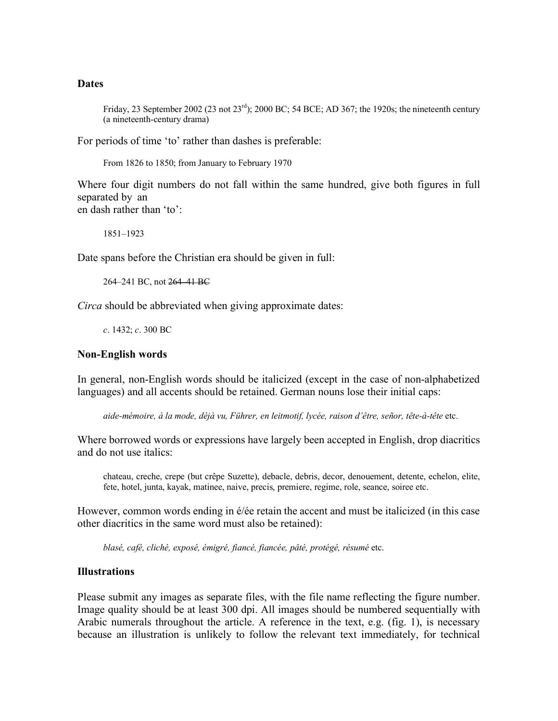## **Dates**

Friday, 23 September 2002 (23 not  $23^{\text{rd}}$ ); 2000 BC; 54 BCE; AD 367; the 1920s; the nineteenth century (a nineteenth-century drama)

For periods of time 'to' rather than dashes is preferable:

From 1826 to 1850; from January to February 1970

Where four digit numbers do not fall within the same hundred, give both figures in full separated by an en dash rather than 'to':

1851–1923

Date spans before the Christian era should be given in full:

264–241 BC, not 264–41 BC

*Circa* should be abbreviated when giving approximate dates:

*c*. 1432; *c*. 300 BC

### **Non-English words**

In general, non-English words should be italicized (except in the case of non-alphabetized languages) and all accents should be retained. German nouns lose their initial caps:

*aide-mémoire, à la mode, déjà vu, Führer, en leitmotif, lycée, raison d'être, señor, tête-à-tête* etc.

Where borrowed words or expressions have largely been accepted in English, drop diacritics and do not use italics:

chateau, creche, crepe (but crêpe Suzette), debacle, debris, decor, denouement, detente, echelon, elite, fete, hotel, junta, kayak, matinee, naive, precis, premiere, regime, role, seance, soiree etc.

However, common words ending in é/ée retain the accent and must be italicized (in this case other diacritics in the same word must also be retained):

*blasé, café, cliché, exposé, émigré, fiancé, fiancée, pâté, protégé, résumé* etc.

### **Illustrations**

Please submit any images as separate files, with the file name reflecting the figure number. Image quality should be at least 300 dpi. All images should be numbered sequentially with Arabic numerals throughout the article. A reference in the text, e.g. (fig. 1), is necessary because an illustration is unlikely to follow the relevant text immediately, for technical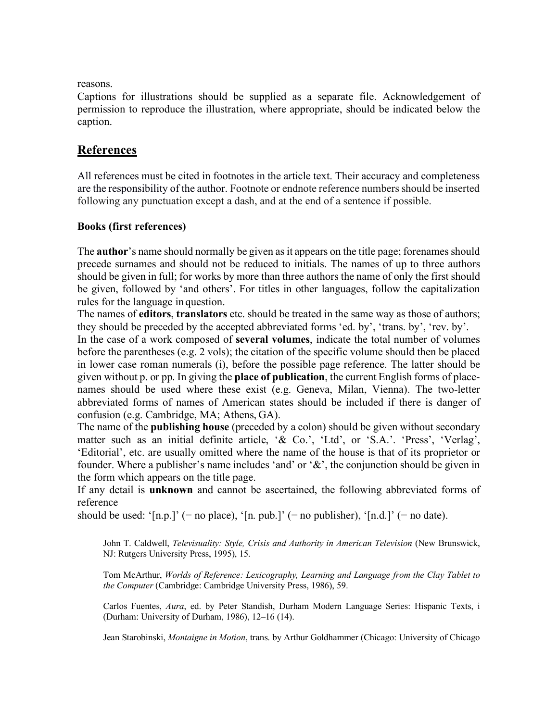reasons.

Captions for illustrations should be supplied as a separate file. Acknowledgement of permission to reproduce the illustration, where appropriate, should be indicated below the caption.

# **References**

All references must be cited in footnotes in the article text. Their accuracy and completeness are the responsibility of the author. Footnote or endnote reference numbers should be inserted following any punctuation except a dash, and at the end of a sentence if possible.

# **Books (first references)**

The **author**'s name should normally be given as it appears on the title page; forenames should precede surnames and should not be reduced to initials. The names of up to three authors should be given in full; for works by more than three authors the name of only the first should be given, followed by 'and others'. For titles in other languages, follow the capitalization rules for the language in question.

The names of **editors**, **translators** etc. should be treated in the same way as those of authors; they should be preceded by the accepted abbreviated forms 'ed. by', 'trans. by', 'rev. by'.

In the case of a work composed of **several volumes**, indicate the total number of volumes before the parentheses (e.g. 2 vols); the citation of the specific volume should then be placed in lower case roman numerals (i), before the possible page reference. The latter should be given without p. or pp. In giving the **place of publication**, the current English forms of placenames should be used where these exist (e.g. Geneva, Milan, Vienna). The two-letter abbreviated forms of names of American states should be included if there is danger of confusion (e.g. Cambridge, MA; Athens, GA).

The name of the **publishing house** (preceded by a colon) should be given without secondary matter such as an initial definite article, '& Co.', 'Ltd', or 'S.A.'. 'Press', 'Verlag', 'Editorial', etc. are usually omitted where the name of the house is that of its proprietor or founder. Where a publisher's name includes 'and' or '&', the conjunction should be given in the form which appears on the title page.

If any detail is **unknown** and cannot be ascertained, the following abbreviated forms of reference

should be used: ' $[n.p.]'$  (= no place), ' $[n. p.b.]'$  (= no publisher), ' $[n.d.]'$  (= no date).

John T. Caldwell, *Televisuality: Style, Crisis and Authority in American Television* (New Brunswick, NJ: Rutgers University Press, 1995), 15.

Tom McArthur, *Worlds of Reference: Lexicography, Learning and Language from the Clay Tablet to the Computer* (Cambridge: Cambridge University Press, 1986), 59.

Carlos Fuentes, *Aura*, ed. by Peter Standish, Durham Modern Language Series: Hispanic Texts, i (Durham: University of Durham, 1986), 12–16 (14).

Jean Starobinski, *Montaigne in Motion*, trans. by Arthur Goldhammer (Chicago: University of Chicago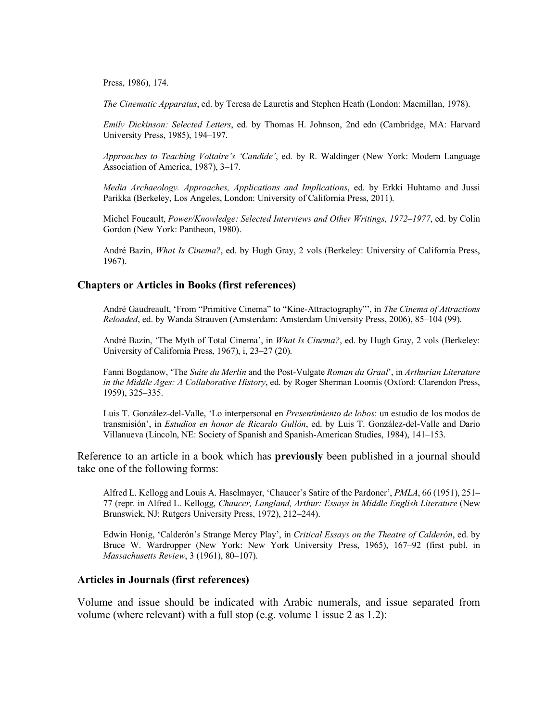Press, 1986), 174.

*The Cinematic Apparatus*, ed. by Teresa de Lauretis and Stephen Heath (London: Macmillan, 1978).

*Emily Dickinson: Selected Letters*, ed. by Thomas H. Johnson, 2nd edn (Cambridge, MA: Harvard University Press, 1985), 194–197.

*Approaches to Teaching Voltaire's 'Candide'*, ed. by R. Waldinger (New York: Modern Language Association of America, 1987), 3–17.

*Media Archaeology. Approaches, Applications and Implications*, ed. by Erkki Huhtamo and Jussi Parikka (Berkeley, Los Angeles, London: University of California Press, 2011).

Michel Foucault, *Power/Knowledge: Selected Interviews and Other Writings, 1972–1977*, ed. by Colin Gordon (New York: Pantheon, 1980).

André Bazin, *What Is Cinema?*, ed. by Hugh Gray, 2 vols (Berkeley: University of California Press, 1967).

## **Chapters or Articles in Books (first references)**

André Gaudreault, 'From "Primitive Cinema" to "Kine-Attractography"', in *The Cinema of Attractions Reloaded*, ed. by Wanda Strauven (Amsterdam: Amsterdam University Press, 2006), 85–104 (99).

André Bazin, 'The Myth of Total Cinema', in *What Is Cinema?*, ed. by Hugh Gray, 2 vols (Berkeley: University of California Press, 1967), i, 23–27 (20).

Fanni Bogdanow, 'The *Suite du Merlin* and the Post-Vulgate *Roman du Graal*', in *Arthurian Literature in the Middle Ages: A Collaborative History*, ed. by Roger Sherman Loomis (Oxford: Clarendon Press, 1959), 325–335.

Luis T. González-del-Valle, 'Lo interpersonal en *Presentimiento de lobos*: un estudio de los modos de transmisión', in *Estudios en honor de Ricardo Gullón*, ed. by Luis T. González-del-Valle and Darío Villanueva (Lincoln, NE: Society of Spanish and Spanish-American Studies, 1984), 141–153.

Reference to an article in a book which has **previously** been published in a journal should take one of the following forms:

Alfred L. Kellogg and Louis A. Haselmayer, 'Chaucer's Satire of the Pardoner', *PMLA*, 66 (1951), 251– 77 (repr. in Alfred L. Kellogg, *Chaucer, Langland, Arthur: Essays in Middle English Literature* (New Brunswick, NJ: Rutgers University Press, 1972), 212–244).

Edwin Honig, 'Calderón's Strange Mercy Play', in *Critical Essays on the Theatre of Calderón*, ed. by Bruce W. Wardropper (New York: New York University Press, 1965), 167–92 (first publ. in *Massachusetts Review*, 3 (1961), 80–107).

#### **Articles in Journals (first references)**

Volume and issue should be indicated with Arabic numerals, and issue separated from volume (where relevant) with a full stop (e.g. volume 1 issue 2 as 1.2):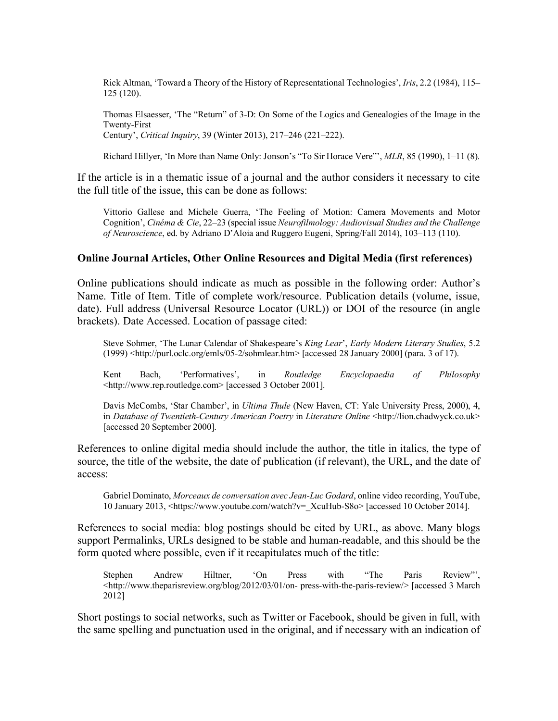Rick Altman, 'Toward a Theory of the History of Representational Technologies', *Iris*, 2.2 (1984), 115– 125 (120).

Thomas Elsaesser, 'The "Return" of 3-D: On Some of the Logics and Genealogies of the Image in the Twenty-First Century', *Critical Inquiry*, 39 (Winter 2013), 217–246 (221–222).

Richard Hillyer, 'In More than Name Only: Jonson's "To Sir Horace Vere"', *MLR*, 85 (1990), 1–11 (8).

If the article is in a thematic issue of a journal and the author considers it necessary to cite the full title of the issue, this can be done as follows:

Vittorio Gallese and Michele Guerra, 'The Feeling of Motion: Camera Movements and Motor Cognition', *Cinéma & Cie*, 22–23 (special issue *Neurofilmology: Audiovisual Studies and the Challenge of Neuroscience*, ed. by Adriano D'Aloia and Ruggero Eugeni, Spring/Fall 2014), 103–113 (110).

### **Online Journal Articles, Other Online Resources and Digital Media (first references)**

Online publications should indicate as much as possible in the following order: Author's Name. Title of Item. Title of complete work/resource. Publication details (volume, issue, date). Full address (Universal Resource Locator (URL)) or DOI of the resource (in angle brackets). Date Accessed. Location of passage cited:

Steve Sohmer, 'The Lunar Calendar of Shakespeare's *King Lear*', *Early Modern Literary Studies*, 5.2 (1999) <http://purl.oclc.org/emls/05-2/sohmlear.htm> [accessed 28 January 2000] (para. 3 of 17).

Kent Bach, 'Performatives', in *Routledge Encyclopaedia of Philosophy*  <http://www.rep.routledge.com> [accessed 3 October 2001].

Davis McCombs, 'Star Chamber', in *Ultima Thule* (New Haven, CT: Yale University Press, 2000), 4, in *Database of Twentieth-Century American Poetry* in *Literature Online* <http://lion.chadwyck.co.uk> [accessed 20 September 2000].

References to online digital media should include the author, the title in italics, the type of source, the title of the website, the date of publication (if relevant), the URL, and the date of access:

Gabriel Dominato, *Morceaux de conversation avec Jean-Luc Godard*, online video recording, YouTube, 10 January 2013, <https://www.youtube.com/watch?v=\_XcuHub-S8o> [accessed 10 October 2014].

References to social media: blog postings should be cited by URL, as above. Many blogs support Permalinks, URLs designed to be stable and human-readable, and this should be the form quoted where possible, even if it recapitulates much of the title:

Stephen Andrew Hiltner, 'On Press with "The Paris Review"', <http://www.theparisreview.org/blog/2012/03/01/on- press-with-the-paris-review/> [accessed 3 March 2012]

Short postings to social networks, such as Twitter or Facebook, should be given in full, with the same spelling and punctuation used in the original, and if necessary with an indication of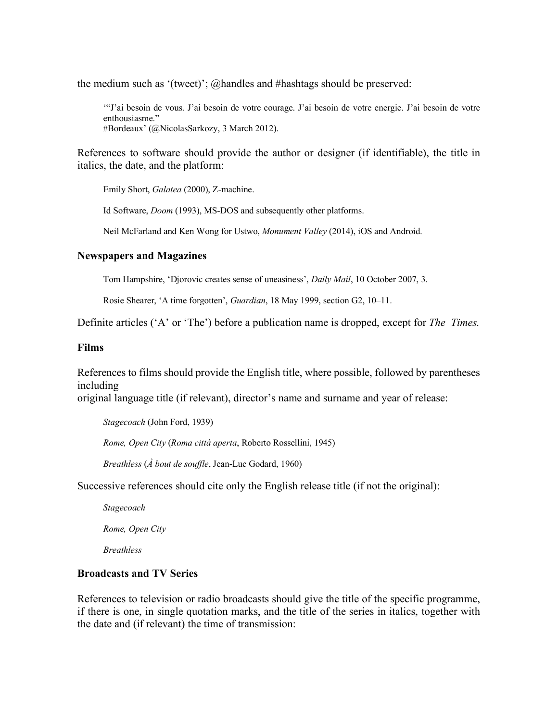the medium such as '(tweet)'; @handles and #hashtags should be preserved:

'"J'ai besoin de vous. J'ai besoin de votre courage. J'ai besoin de votre energie. J'ai besoin de votre enthousiasme." #Bordeaux' (@NicolasSarkozy, 3 March 2012).

References to software should provide the author or designer (if identifiable), the title in italics, the date, and the platform:

Emily Short, *Galatea* (2000), Z-machine.

Id Software, *Doom* (1993), MS-DOS and subsequently other platforms.

Neil McFarland and Ken Wong for Ustwo, *Monument Valley* (2014), iOS and Android.

# **Newspapers and Magazines**

Tom Hampshire, 'Djorovic creates sense of uneasiness', *Daily Mail*, 10 October 2007, 3.

Rosie Shearer, 'A time forgotten', *Guardian*, 18 May 1999, section G2, 10–11.

Definite articles ('A' or 'The') before a publication name is dropped, except for *The Times.*

## **Films**

References to films should provide the English title, where possible, followed by parentheses including

original language title (if relevant), director's name and surname and year of release:

*Stagecoach* (John Ford, 1939)

*Rome, Open City* (*Roma città aperta*, Roberto Rossellini, 1945)

*Breathless* (*À bout de souffle*, Jean-Luc Godard, 1960)

Successive references should cite only the English release title (if not the original):

*Stagecoach*

*Rome, Open City*

*Breathless*

# **Broadcasts and TV Series**

References to television or radio broadcasts should give the title of the specific programme, if there is one, in single quotation marks, and the title of the series in italics, together with the date and (if relevant) the time of transmission: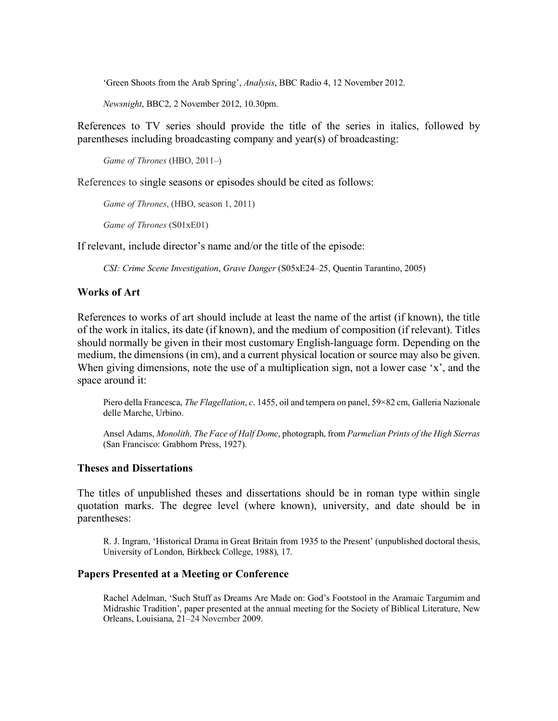'Green Shoots from the Arab Spring', *Analysis*, BBC Radio 4, 12 November 2012.

*Newsnight*, BBC2, 2 November 2012, 10.30pm.

References to TV series should provide the title of the series in italics, followed by parentheses including broadcasting company and year(s) of broadcasting:

```
Game of Thrones (HBO, 2011–)
```
References to single seasons or episodes should be cited as follows:

*Game of Thrones*, (HBO, season 1, 2011)

*Game of Thrones* (S01xE01)

If relevant, include director's name and/or the title of the episode:

*CSI: Crime Scene Investigation*, *Grave Danger* (S05xE24–25, Quentin Tarantino, 2005)

# **Works of Art**

References to works of art should include at least the name of the artist (if known), the title of the work in italics, its date (if known), and the medium of composition (if relevant). Titles should normally be given in their most customary English-language form. Depending on the medium, the dimensions (in cm), and a current physical location or source may also be given. When giving dimensions, note the use of a multiplication sign, not a lower case 'x', and the space around it:

Piero della Francesca, *The Flagellation*, *c*. 1455, oil and tempera on panel, 59×82 cm, Galleria Nazionale delle Marche, Urbino.

Ansel Adams, *Monolith, The Face of Half Dome*, photograph, from *Parmelian Prints of the High Sierras*  (San Francisco: Grabhorn Press, 1927).

## **Theses and Dissertations**

The titles of unpublished theses and dissertations should be in roman type within single quotation marks. The degree level (where known), university, and date should be in parentheses:

R. J. Ingram, 'Historical Drama in Great Britain from 1935 to the Present' (unpublished doctoral thesis, University of London, Birkbeck College, 1988), 17.

## **Papers Presented at a Meeting or Conference**

Rachel Adelman, 'Such Stuff as Dreams Are Made on: God's Footstool in the Aramaic Targumim and Midrashic Tradition', paper presented at the annual meeting for the Society of Biblical Literature, New Orleans, Louisiana, 21–24 November 2009.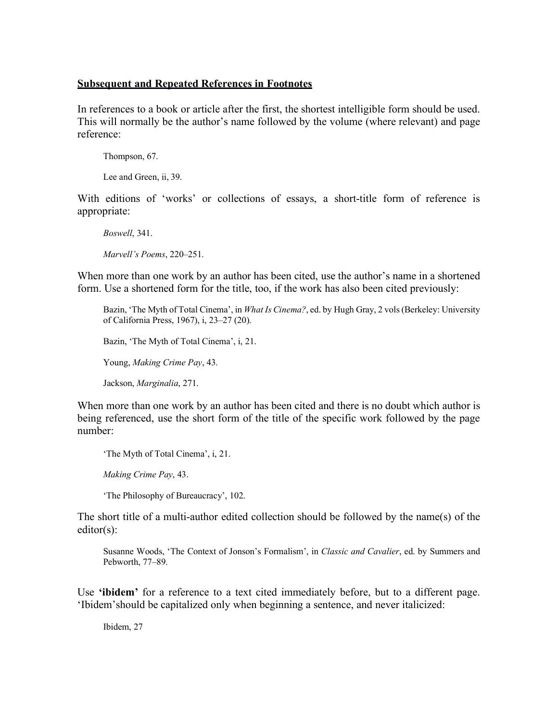## **Subsequent and Repeated References in Footnotes**

In references to a book or article after the first, the shortest intelligible form should be used. This will normally be the author's name followed by the volume (where relevant) and page reference:

Thompson, 67.

Lee and Green, ii, 39.

With editions of 'works' or collections of essays, a short-title form of reference is appropriate:

*Boswell*, 341. *Marvell's Poems*, 220–251.

When more than one work by an author has been cited, use the author's name in a shortened form. Use a shortened form for the title, too, if the work has also been cited previously:

Bazin, 'The Myth of Total Cinema', in *What Is Cinema?*, ed. by Hugh Gray, 2 vols (Berkeley: University of California Press, 1967), i, 23–27 (20).

Bazin, 'The Myth of Total Cinema', i, 21.

Young, *Making Crime Pay*, 43.

Jackson, *Marginalia*, 271.

When more than one work by an author has been cited and there is no doubt which author is being referenced, use the short form of the title of the specific work followed by the page number:

'The Myth of Total Cinema', i, 21.

*Making Crime Pay*, 43.

'The Philosophy of Bureaucracy', 102.

The short title of a multi-author edited collection should be followed by the name(s) of the editor(s):

Susanne Woods, 'The Context of Jonson's Formalism', in *Classic and Cavalier*, ed. by Summers and Pebworth, 77–89.

Use **'ibidem'** for a reference to a text cited immediately before, but to a different page. 'Ibidem'should be capitalized only when beginning a sentence, and never italicized:

Ibidem, 27